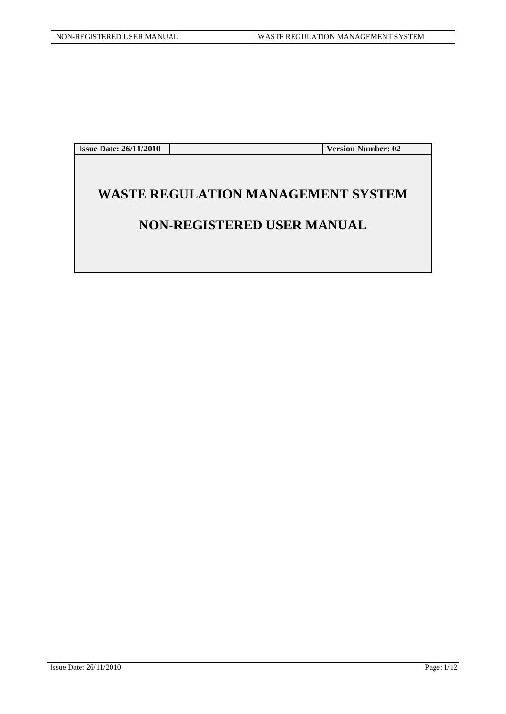**Issue Date: 26/11/2010 Version Number: 02**

# **WASTE REGULATION MANAGEMENT SYSTEM**

## **NON-REGISTERED USER MANUAL**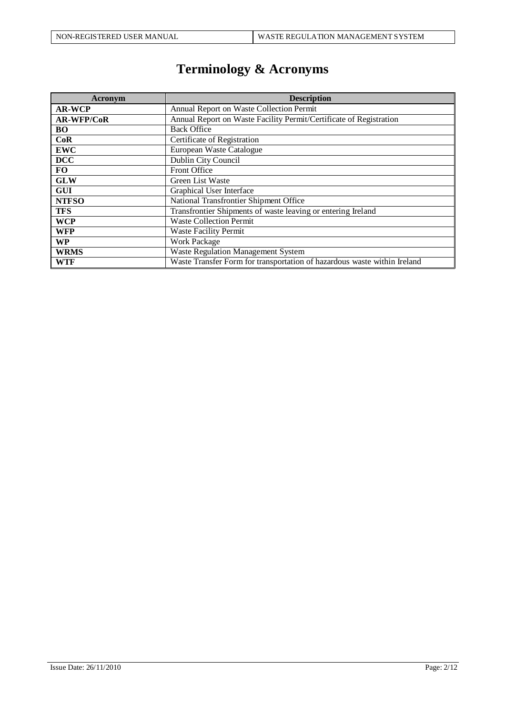# **Terminology & Acronyms**

| Acronym           | <b>Description</b>                                                       |  |  |  |  |
|-------------------|--------------------------------------------------------------------------|--|--|--|--|
| <b>AR-WCP</b>     | Annual Report on Waste Collection Permit                                 |  |  |  |  |
| <b>AR-WFP/CoR</b> | Annual Report on Waste Facility Permit/Certificate of Registration       |  |  |  |  |
| <b>BO</b>         | <b>Back Office</b>                                                       |  |  |  |  |
| CoR               | Certificate of Registration                                              |  |  |  |  |
| <b>EWC</b>        | European Waste Catalogue                                                 |  |  |  |  |
| <b>DCC</b>        | Dublin City Council                                                      |  |  |  |  |
| <b>FO</b>         | Front Office                                                             |  |  |  |  |
| <b>GLW</b>        | Green List Waste                                                         |  |  |  |  |
| <b>GUI</b>        | Graphical User Interface                                                 |  |  |  |  |
| <b>NTFSO</b>      | National Transfrontier Shipment Office                                   |  |  |  |  |
| <b>TFS</b>        | Transfrontier Shipments of waste leaving or entering Ireland             |  |  |  |  |
| <b>WCP</b>        | <b>Waste Collection Permit</b>                                           |  |  |  |  |
| <b>WFP</b>        | <b>Waste Facility Permit</b>                                             |  |  |  |  |
| <b>WP</b>         | <b>Work Package</b>                                                      |  |  |  |  |
| <b>WRMS</b>       | <b>Waste Regulation Management System</b>                                |  |  |  |  |
| <b>WTF</b>        | Waste Transfer Form for transportation of hazardous waste within Ireland |  |  |  |  |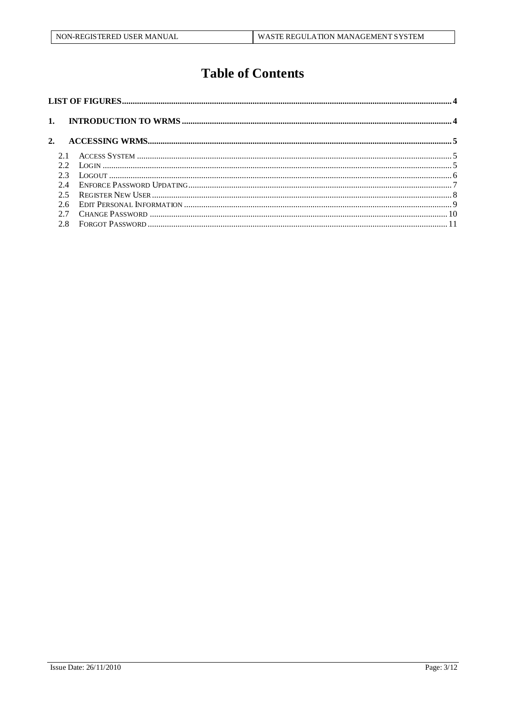# **Table of Contents**

| 2.  |  |  |
|-----|--|--|
|     |  |  |
| 22  |  |  |
|     |  |  |
| 2.4 |  |  |
| 25  |  |  |
| 2.6 |  |  |
|     |  |  |
| 2.8 |  |  |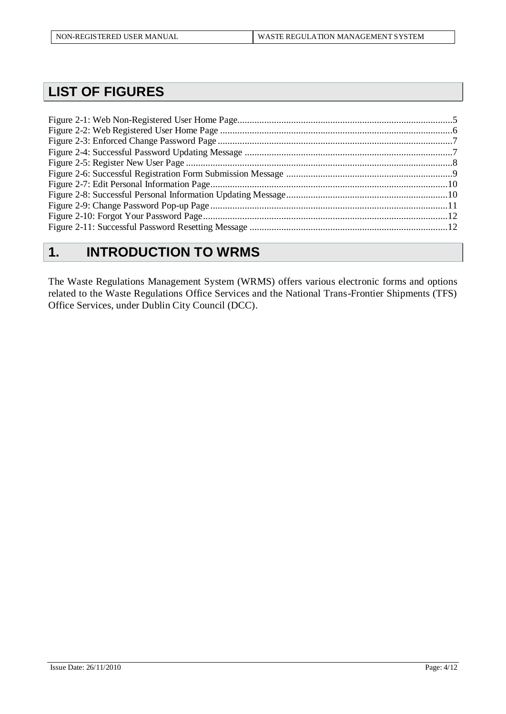# <span id="page-3-0"></span>**LIST OF FIGURES**

# <span id="page-3-1"></span>**1. INTRODUCTION TO WRMS**

The Waste Regulations Management System (WRMS) offers various electronic forms and options related to the Waste Regulations Office Services and the National Trans-Frontier Shipments (TFS) Office Services, under Dublin City Council (DCC).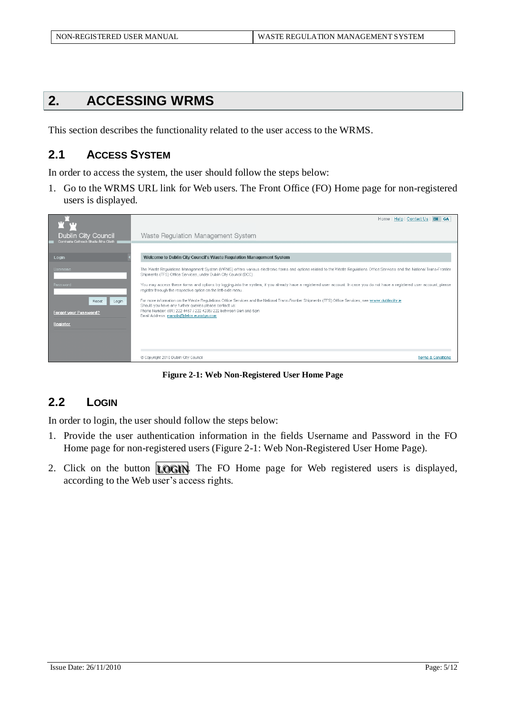# <span id="page-4-0"></span>**2. ACCESSING WRMS**

This section describes the functionality related to the user access to the WRMS.

### <span id="page-4-1"></span>**2.1 ACCESS SYSTEM**

In order to access the system, the user should follow the steps below:

1. Go to the WRMS URL link for Web users. The Front Office (FO) Home page for non-registered users is displayed.

| <b>TET</b><br><b>Dublin City Council</b>       | Home   Help   Contact Us   EN   GA  <br>Waste Regulation Management System                                                                                                                                                                                                                                                                                                                                                      |                               |
|------------------------------------------------|---------------------------------------------------------------------------------------------------------------------------------------------------------------------------------------------------------------------------------------------------------------------------------------------------------------------------------------------------------------------------------------------------------------------------------|-------------------------------|
| Comhairle Cathrach Bhaile Átha Cliath<br>Login | Welcome to Dublin City Council's Waste Regulation Management System                                                                                                                                                                                                                                                                                                                                                             |                               |
| Username<br>Password                           | The Waste Requiations Management System (WRMS) offers various electronic forms and options related to the Waste Requiations Office Services and the National Trans-Frontier<br>Shipments (TFS) Office Services, under Dublin City Council (DCC).<br>You may access these forms and options by logging-into the system, if you already have a registered user account. In case you do not have a registered user account, please |                               |
| Login<br>Reset<br>Forgot your Password?        | register through the respective option on the left-side menu.<br>For more information on the Waste Regulations Office Services and the National Trans-Frontier Shipments (TFS) Office Services, see www.dublincity.ie<br>Should you have any further queries please contact us:<br>Phone Number: (01) 222 4467 / 222 4235/ 222 between 9am and 5pm<br>Email Address: manolis@delos.eurodyn.com                                  |                               |
| Register                                       |                                                                                                                                                                                                                                                                                                                                                                                                                                 |                               |
|                                                | Copyright 2010 Dublin City Council                                                                                                                                                                                                                                                                                                                                                                                              | <b>Terms &amp; Conditions</b> |

**Figure 2-1: Web Non-Registered User Home Page**

## <span id="page-4-3"></span><span id="page-4-2"></span>**2.2 LOGIN**

In order to login, the user should follow the steps below:

- 1. Provide the user authentication information in the fields Username and Password in the FO Home page for non-registered users [\(Figure 2-1: Web Non-Registered](#page-4-3) User Home Page).
- 2. Click on the button **LOGIN**. The FO Home page for Web registered users is displayed, according to the Web user's access rights.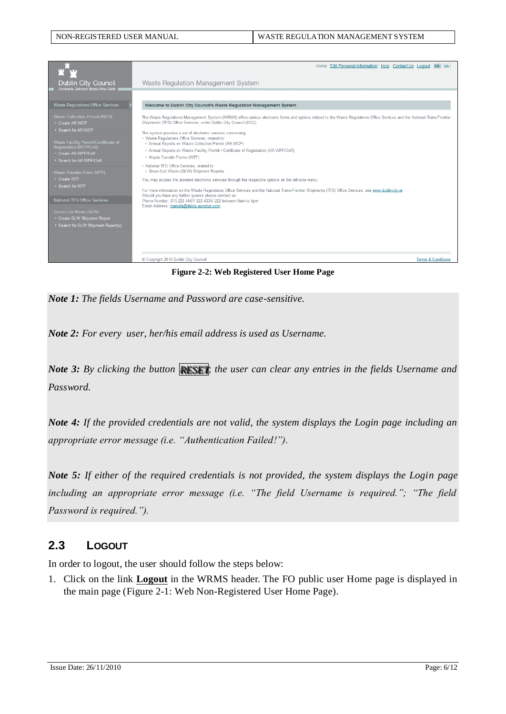

**Figure 2-2: Web Registered User Home Page**

<span id="page-5-1"></span>*Note 1: The fields Username and Password are case-sensitive.*

*Note 2: For every user, her/his email address is used as Username.*

*Note 3: By clicking the button RESET, the user can clear any entries in the fields Username and Password.* 

*Note 4: If the provided credentials are not valid, the system displays the Login page including an appropriate error message (i.e. "Authentication Failed!").*

*Note 5: If either of the required credentials is not provided, the system displays the Login page including an appropriate error message (i.e. "The field Username is required."; "The field Password is required.").*

### <span id="page-5-0"></span>**2.3 LOGOUT**

In order to logout, the user should follow the steps below:

1. Click on the link **Logout** in the WRMS header. The FO public user Home page is displayed in the main page (Figure 2-1: [Web Non-Registered](#page-4-3) User Home Page).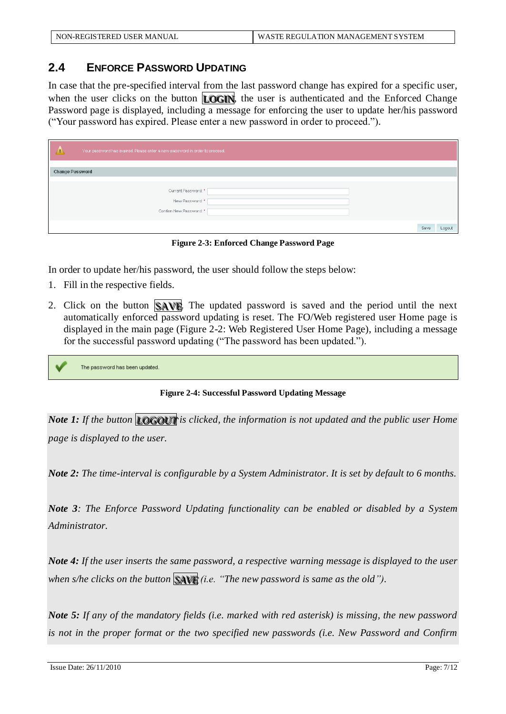## <span id="page-6-0"></span>**2.4 ENFORCE PASSWORD UPDATING**

In case that the pre-specified interval from the last password change has expired for a specific user, when the user clicks on the button  $\text{LOGN}$ , the user is authenticated and the Enforced Change Password page is displayed, including a message for enforcing the user to update her/his password ("Your password has expired. Please enter a new password in order to proceed.").

| Your password has expired. Please enter a new password in order to proceed. |                |
|-----------------------------------------------------------------------------|----------------|
|                                                                             |                |
| <b>Change Password</b>                                                      |                |
|                                                                             |                |
| Current Password: *                                                         |                |
| New Password: *                                                             |                |
| Confirm New Password: *                                                     |                |
|                                                                             | Save<br>Logout |

**Figure 2-3: Enforced Change Password Page**

<span id="page-6-1"></span>In order to update her/his password, the user should follow the steps below:

- 1. Fill in the respective fields.
- 2. Click on the button SAVE. The updated password is saved and the period until the next automatically enforced password updating is reset. The FO/Web registered user Home page is displayed in the main page [\(Figure 2-2: Web Registered User Home Page\)](#page-5-1), including a message for the successful password updating ("The password has been updated.").

<span id="page-6-2"></span>The password has been updated

**Figure 2-4: Successful Password Updating Message**

*Note 1: If the button LOGOUT is clicked, the information is not updated and the public user Home page is displayed to the user.*

*Note 2: The time-interval is configurable by a System Administrator. It is set by default to 6 months.* 

*Note 3: The Enforce Password Updating functionality can be enabled or disabled by a System Administrator.*

*Note 4: If the user inserts the same password, a respective warning message is displayed to the user when s/he clicks on the button*  $\mathbb{S}$  $\mathbb{R}$  *(i.e. "The new password is same as the old").* 

*Note 5: If any of the mandatory fields (i.e. marked with red asterisk) is missing, the new password is not in the proper format or the two specified new passwords (i.e. New Password and Confirm*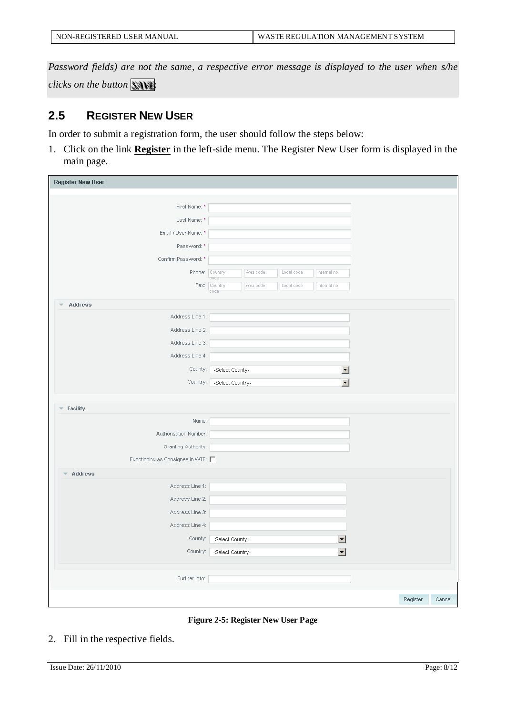| NON-REGISTERED USER MANUAL | WASTE REGULATION MANAGEMENT SYSTEM |
|----------------------------|------------------------------------|
|                            |                                    |

*Password fields) are not the same, a respective error message is displayed to the user when s/he clicks on the button* SAVE

### <span id="page-7-0"></span>**2.5 REGISTER NEW USER**

In order to submit a registration form, the user should follow the steps below:

1. Click on the link **Register** in the left-side menu. The Register New User form is displayed in the main page.

| <b>Register New User</b>           |                      |           |            |                          |          |        |
|------------------------------------|----------------------|-----------|------------|--------------------------|----------|--------|
|                                    |                      |           |            |                          |          |        |
| First Name: *                      |                      |           |            |                          |          |        |
| Last Name: *                       |                      |           |            |                          |          |        |
| Email / User Name: *               |                      |           |            |                          |          |        |
| Password: *                        |                      |           |            |                          |          |        |
| Confirm Password: *                |                      |           |            |                          |          |        |
| Phone: Country                     |                      | Area code | Local code | Internal no.             |          |        |
|                                    | code<br>Fax: Country | Area code | Local code | Internal no.             |          |        |
|                                    | code                 |           |            |                          |          |        |
| <b>Address</b>                     |                      |           |            |                          |          |        |
| Address Line 1:                    |                      |           |            |                          |          |        |
| Address Line 2:                    |                      |           |            |                          |          |        |
| Address Line 3:                    |                      |           |            |                          |          |        |
| Address Line 4:                    |                      |           |            |                          |          |        |
| County:                            | -Select County-      |           |            | 회                        |          |        |
| Country:                           | -Select Country-     |           |            | $\blacksquare$           |          |        |
|                                    |                      |           |            |                          |          |        |
| $\blacktriangleright$ Facility     |                      |           |            |                          |          |        |
| Name:                              |                      |           |            |                          |          |        |
| Authorisation Number:              |                      |           |            |                          |          |        |
| Granting Authority:                |                      |           |            |                          |          |        |
| Functioning as Consignee in WTF: O |                      |           |            |                          |          |        |
| Address                            |                      |           |            |                          |          |        |
| Address Line 1:                    |                      |           |            |                          |          |        |
| Address Line 2:                    |                      |           |            |                          |          |        |
| Address Line 3:                    |                      |           |            |                          |          |        |
| Address Line 4:                    |                      |           |            |                          |          |        |
| County:                            |                      |           |            |                          |          |        |
|                                    | -Select County-      |           |            | $\overline{\phantom{0}}$ |          |        |
| Country:                           | -Select Country-     |           |            | $\overline{\phantom{a}}$ |          |        |
|                                    |                      |           |            |                          |          |        |
| Further Info:                      |                      |           |            |                          |          |        |
|                                    |                      |           |            |                          | Register | Cancel |
|                                    |                      |           |            |                          |          |        |

**Figure 2-5: Register New User Page**

<span id="page-7-1"></span>2. Fill in the respective fields.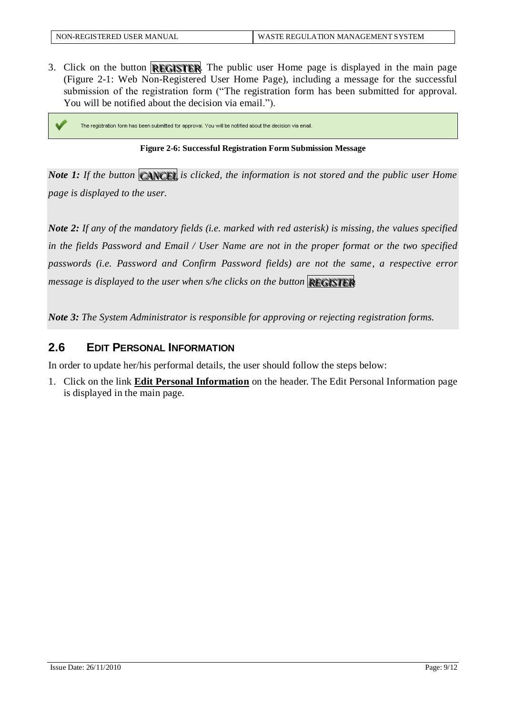3. Click on the button **REGISTER**. The public user Home page is displayed in the main page (Figure 2-1: [Web Non-Registered](#page-4-3) User Home Page), including a message for the successful submission of the registration form ("The registration form has been submitted for approval. You will be notified about the decision via email.").

<span id="page-8-1"></span>The registration form has been submitted for approval. You will be notified about the decision via email.

#### **Figure 2-6: Successful Registration Form Submission Message**

*Note 1: If the button CANCEL is clicked, the information is not stored and the public user Home page is displayed to the user.*

*Note 2: If any of the mandatory fields (i.e. marked with red asterisk) is missing, the values specified in the fields Password and Email / User Name are not in the proper format or the two specified passwords (i.e. Password and Confirm Password fields) are not the same, a respective error message is displayed to the user when s/he clicks on the button RREEGGI ISSTTEERR.*

*Note 3: The System Administrator is responsible for approving or rejecting registration forms.*

#### <span id="page-8-0"></span>**2.6 EDIT PERSONAL INFORMATION**

In order to update her/his performal details, the user should follow the steps below:

1. Click on the link **Edit Personal Information** on the header. The Edit Personal Information page is displayed in the main page.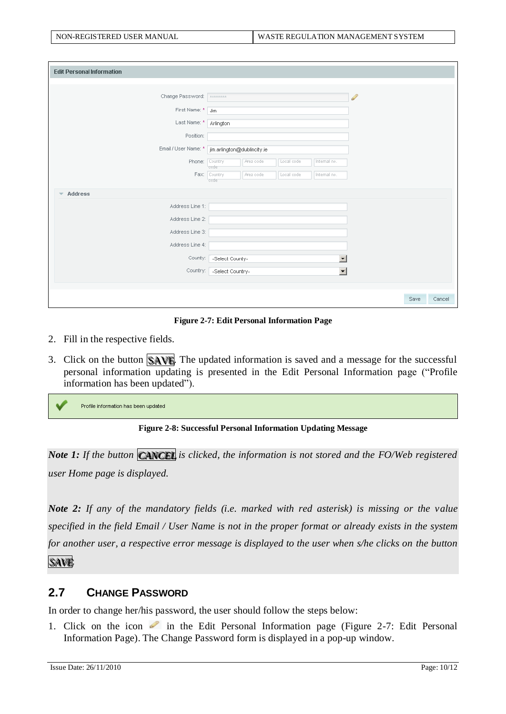| <b>Edit Personal Information</b>    |                                                                    |
|-------------------------------------|--------------------------------------------------------------------|
|                                     |                                                                    |
| Change Password:                    | P<br>*********                                                     |
| First Name: *                       | Jim                                                                |
| Last Name: *                        | Arlington                                                          |
| Position:                           |                                                                    |
|                                     | Email / User Name: * jim.arlington@dublincity.ie                   |
| Phone:                              | Area code<br>Country<br>Local code<br>Internal no.                 |
| Fax:                                | code<br>Country<br>Area code<br>Local code<br>Internal no.<br>code |
|                                     |                                                                    |
| Address<br>$\overline{\phantom{a}}$ |                                                                    |
| Address Line 1:                     |                                                                    |
| Address Line 2:                     |                                                                    |
| Address Line 3:                     |                                                                    |
| Address Line 4:                     |                                                                    |
| County:                             | $\overline{\phantom{a}}$<br>-Select County-                        |
| Country:                            | $\blacktriangledown$<br>-Select Country-                           |
|                                     |                                                                    |
|                                     | Save<br>Cancel                                                     |

**Figure 2-7: Edit Personal Information Page**

- <span id="page-9-1"></span>2. Fill in the respective fields.
- 3. Click on the button  $\mathbb{S}$  AVE. The updated information is saved and a message for the successful personal information updating is presented in the Edit Personal Information page ("Profile information has been updated").

<span id="page-9-2"></span>Profile information has been updated



*Note 1: If the button CANCEL is clicked, the information is not stored and the FO/Web registered user Home page is displayed.*

*Note 2: If any of the mandatory fields (i.e. marked with red asterisk) is missing or the value specified in the field Email / User Name is not in the proper format or already exists in the system for another user, a respective error message is displayed to the user when s/he clicks on the button* 

SAVE<sup>®</sup>

#### <span id="page-9-0"></span>**2.7 CHANGE PASSWORD**

In order to change her/his password, the user should follow the steps below:

1. Click on the icon  $\bullet$  in the [Edit Personal](#page-9-1) Information page (Figure 2-7: Edit Personal [Information Page\)](#page-9-1). The Change Password form is displayed in a pop-up window.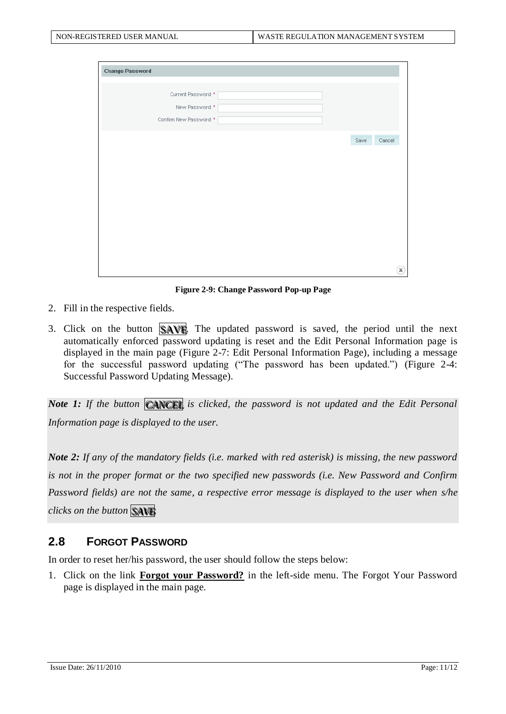| <b>Change Password</b>  |      |              |
|-------------------------|------|--------------|
|                         |      |              |
| Current Password: *     |      |              |
| New Password: *         |      |              |
| Confirm New Password: * |      |              |
|                         |      |              |
|                         | Save | Cancel       |
|                         |      |              |
|                         |      |              |
|                         |      |              |
|                         |      |              |
|                         |      |              |
|                         |      |              |
|                         |      |              |
|                         |      |              |
|                         |      |              |
|                         |      |              |
|                         |      | $\mathbf{x}$ |

**Figure 2-9: Change Password Pop-up Page**

- <span id="page-10-1"></span>2. Fill in the respective fields.
- 3. Click on the button  $\mathbb{S}$ AVE. The updated password is saved, the period until the next automatically enforced password updating is reset and the Edit Personal Information page is displayed in the main page (Figure 2-7: [Edit Personal Information Page\)](#page-9-1), including a message for the successful password updating ("The password has been updated.") [\(Figure 2-4:](#page-6-2)  [Successful Password Updating Message\)](#page-6-2).

*Note 1: If the button CANCEL is clicked, the password is not updated and the Edit Personal Information page is displayed to the user.*

*Note 2: If any of the mandatory fields (i.e. marked with red asterisk) is missing, the new password is not in the proper format or the two specified new passwords (i.e. New Password and Confirm Password fields) are not the same, a respective error message is displayed to the user when s/he clicks on the button* SAVE

#### <span id="page-10-0"></span>**2.8 FORGOT PASSWORD**

In order to reset her/his password, the user should follow the steps below:

1. Click on the link **Forgot your Password?** in the left-side menu. The Forgot Your Password page is displayed in the main page.